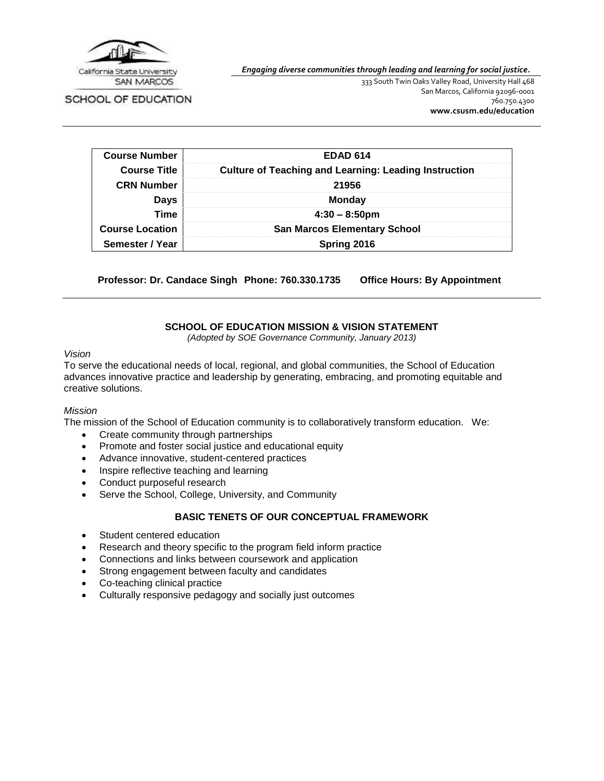

*Engaging diverse communities through leading and learning for social justice.*

SCHOOL OF EDUCATION

333 South Twin Oaks Valley Road, University Hall 468 San Marcos, California 92096-0001 760.750.4300 **[www.csusm.edu/education](http://www.csusm.edu/education)**

| <b>Course Number</b>   | <b>EDAD 614</b>                                              |  |
|------------------------|--------------------------------------------------------------|--|
| <b>Course Title</b>    | <b>Culture of Teaching and Learning: Leading Instruction</b> |  |
| <b>CRN Number</b>      | 21956                                                        |  |
| Days                   | <b>Monday</b>                                                |  |
| <b>Time</b>            | $4:30 - 8:50 \text{pm}$                                      |  |
| <b>Course Location</b> | <b>San Marcos Elementary School</b>                          |  |
| Semester / Year        | Spring 2016                                                  |  |

**Professor: Dr. Candace Singh Phone: 760.330.1735 Office Hours: By Appointment**

# **SCHOOL OF EDUCATION MISSION & VISION STATEMENT**

*(Adopted by SOE Governance Community, January 2013)*

#### *Vision*

To serve the educational needs of local, regional, and global communities, the School of Education advances innovative practice and leadership by generating, embracing, and promoting equitable and creative solutions.

#### *Mission*

The mission of the School of Education community is to collaboratively transform education. We:

- Create community through partnerships
- Promote and foster social justice and educational equity
- Advance innovative, student-centered practices
- Inspire reflective teaching and learning
- Conduct purposeful research
- Serve the School, College, University, and Community

## **BASIC TENETS OF OUR CONCEPTUAL FRAMEWORK**

- Student centered education
- Research and theory specific to the program field inform practice
- Connections and links between coursework and application
- Strong engagement between faculty and candidates
- Co-teaching clinical practice
- Culturally responsive pedagogy and socially just outcomes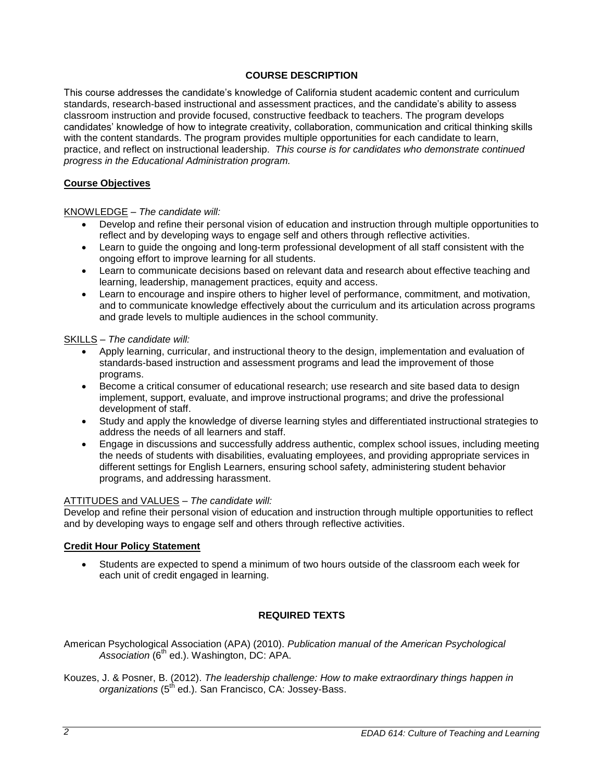# **COURSE DESCRIPTION**

This course addresses the candidate's knowledge of California student academic content and curriculum standards, research-based instructional and assessment practices, and the candidate's ability to assess classroom instruction and provide focused, constructive feedback to teachers. The program develops candidates' knowledge of how to integrate creativity, collaboration, communication and critical thinking skills with the content standards. The program provides multiple opportunities for each candidate to learn, practice, and reflect on instructional leadership. *This course is for candidates who demonstrate continued progress in the Educational Administration program.*

## **Course Objectives**

## KNOWLEDGE *– The candidate will:*

- Develop and refine their personal vision of education and instruction through multiple opportunities to reflect and by developing ways to engage self and others through reflective activities.
- Learn to guide the ongoing and long-term professional development of all staff consistent with the ongoing effort to improve learning for all students.
- Learn to communicate decisions based on relevant data and research about effective teaching and learning, leadership, management practices, equity and access.
- Learn to encourage and inspire others to higher level of performance, commitment, and motivation, and to communicate knowledge effectively about the curriculum and its articulation across programs and grade levels to multiple audiences in the school community.

#### SKILLS – *The candidate will:*

- Apply learning, curricular, and instructional theory to the design, implementation and evaluation of standards-based instruction and assessment programs and lead the improvement of those programs.
- Become a critical consumer of educational research; use research and site based data to design implement, support, evaluate, and improve instructional programs; and drive the professional development of staff.
- Study and apply the knowledge of diverse learning styles and differentiated instructional strategies to address the needs of all learners and staff.
- Engage in discussions and successfully address authentic, complex school issues, including meeting the needs of students with disabilities, evaluating employees, and providing appropriate services in different settings for English Learners, ensuring school safety, administering student behavior programs, and addressing harassment.

#### ATTITUDES and VALUES – *The candidate will:*

Develop and refine their personal vision of education and instruction through multiple opportunities to reflect and by developing ways to engage self and others through reflective activities.

#### **Credit Hour Policy Statement**

 Students are expected to spend a minimum of two hours outside of the classroom each week for each unit of credit engaged in learning.

## **REQUIRED TEXTS**

- American Psychological Association (APA) (2010). *Publication manual of the American Psychological*  Association (6<sup>th</sup> ed.). Washington, DC: APA.
- Kouzes, J. & Posner, B. (2012). *The leadership challenge: How to make extraordinary things happen in organizations* (5th ed.). San Francisco, CA: Jossey-Bass.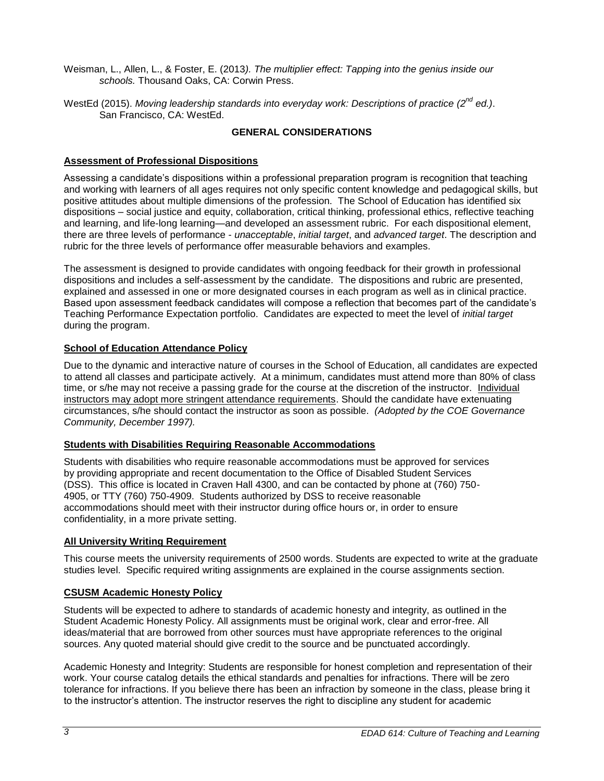- Weisman, L., Allen, L., & Foster, E. (2013*). The multiplier effect: Tapping into the genius inside our schools.* Thousand Oaks, CA: Corwin Press.
- WestEd (2015). *Moving leadership standards into everyday work: Descriptions of practice (2nd ed.)*. San Francisco, CA: WestEd.

# **GENERAL CONSIDERATIONS**

## **Assessment of Professional Dispositions**

Assessing a candidate's dispositions within a professional preparation program is recognition that teaching and working with learners of all ages requires not only specific content knowledge and pedagogical skills, but positive attitudes about multiple dimensions of the profession. The School of Education has identified six dispositions – social justice and equity, collaboration, critical thinking, professional ethics, reflective teaching and learning, and life-long learning—and developed an assessment rubric. For each dispositional element, there are three levels of performance - *unacceptable*, *initial target*, and *advanced target*. The description and rubric for the three levels of performance offer measurable behaviors and examples.

The assessment is designed to provide candidates with ongoing feedback for their growth in professional dispositions and includes a self-assessment by the candidate. The dispositions and rubric are presented, explained and assessed in one or more designated courses in each program as well as in clinical practice. Based upon assessment feedback candidates will compose a reflection that becomes part of the candidate's Teaching Performance Expectation portfolio. Candidates are expected to meet the level of *initial target* during the program.

# **School of Education Attendance Policy**

Due to the dynamic and interactive nature of courses in the School of Education, all candidates are expected to attend all classes and participate actively. At a minimum, candidates must attend more than 80% of class time, or s/he may not receive a passing grade for the course at the discretion of the instructor. Individual instructors may adopt more stringent attendance requirements. Should the candidate have extenuating circumstances, s/he should contact the instructor as soon as possible. *(Adopted by the COE Governance Community, December 1997).*

## **Students with Disabilities Requiring Reasonable Accommodations**

Students with disabilities who require reasonable accommodations must be approved for services by providing appropriate and recent documentation to the Office of Disabled Student Services (DSS). This office is located in Craven Hall 4300, and can be contacted by phone at (760) 750- 4905, or TTY (760) 750-4909. Students authorized by DSS to receive reasonable accommodations should meet with their instructor during office hours or, in order to ensure confidentiality, in a more private setting.

## **All University Writing Requirement**

This course meets the university requirements of 2500 words. Students are expected to write at the graduate studies level. Specific required writing assignments are explained in the course assignments section.

## **CSUSM Academic Honesty Policy**

Students will be expected to adhere to standards of academic honesty and integrity, as outlined in the Student Academic Honesty Policy. All assignments must be original work, clear and error-free. All ideas/material that are borrowed from other sources must have appropriate references to the original sources. Any quoted material should give credit to the source and be punctuated accordingly.

Academic Honesty and Integrity: Students are responsible for honest completion and representation of their work. Your course catalog details the ethical standards and penalties for infractions. There will be zero tolerance for infractions. If you believe there has been an infraction by someone in the class, please bring it to the instructor's attention. The instructor reserves the right to discipline any student for academic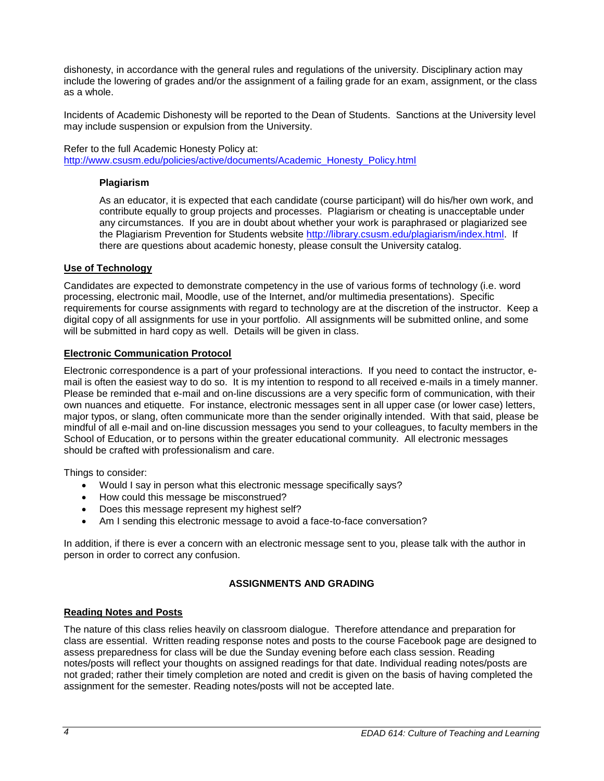dishonesty, in accordance with the general rules and regulations of the university. Disciplinary action may include the lowering of grades and/or the assignment of a failing grade for an exam, assignment, or the class as a whole.

Incidents of Academic Dishonesty will be reported to the Dean of Students. Sanctions at the University level may include suspension or expulsion from the University.

Refer to the full Academic Honesty Policy at: [http://www.csusm.edu/policies/active/documents/Academic\\_Honesty\\_Policy.html](http://www.csusm.edu/policies/active/documents/Academic_Honesty_Policy.html)

#### **Plagiarism**

As an educator, it is expected that each candidate (course participant) will do his/her own work, and contribute equally to group projects and processes. Plagiarism or cheating is unacceptable under any circumstances. If you are in doubt about whether your work is paraphrased or plagiarized see the Plagiarism Prevention for Students website [http://library.csusm.edu/plagiarism/index.html.](http://library.csusm.edu/plagiarism/index.html) If there are questions about academic honesty, please consult the University catalog.

#### **Use of Technology**

Candidates are expected to demonstrate competency in the use of various forms of technology (i.e. word processing, electronic mail, Moodle, use of the Internet, and/or multimedia presentations). Specific requirements for course assignments with regard to technology are at the discretion of the instructor. Keep a digital copy of all assignments for use in your portfolio. All assignments will be submitted online, and some will be submitted in hard copy as well. Details will be given in class.

#### **Electronic Communication Protocol**

Electronic correspondence is a part of your professional interactions. If you need to contact the instructor, email is often the easiest way to do so. It is my intention to respond to all received e-mails in a timely manner. Please be reminded that e-mail and on-line discussions are a very specific form of communication, with their own nuances and etiquette. For instance, electronic messages sent in all upper case (or lower case) letters, major typos, or slang, often communicate more than the sender originally intended. With that said, please be mindful of all e-mail and on-line discussion messages you send to your colleagues, to faculty members in the School of Education, or to persons within the greater educational community. All electronic messages should be crafted with professionalism and care.

Things to consider:

- Would I say in person what this electronic message specifically says?
- How could this message be misconstrued?
- Does this message represent my highest self?
- Am I sending this electronic message to avoid a face-to-face conversation?

In addition, if there is ever a concern with an electronic message sent to you, please talk with the author in person in order to correct any confusion.

## **ASSIGNMENTS AND GRADING**

#### **Reading Notes and Posts**

The nature of this class relies heavily on classroom dialogue. Therefore attendance and preparation for class are essential. Written reading response notes and posts to the course Facebook page are designed to assess preparedness for class will be due the Sunday evening before each class session. Reading notes/posts will reflect your thoughts on assigned readings for that date. Individual reading notes/posts are not graded; rather their timely completion are noted and credit is given on the basis of having completed the assignment for the semester. Reading notes/posts will not be accepted late.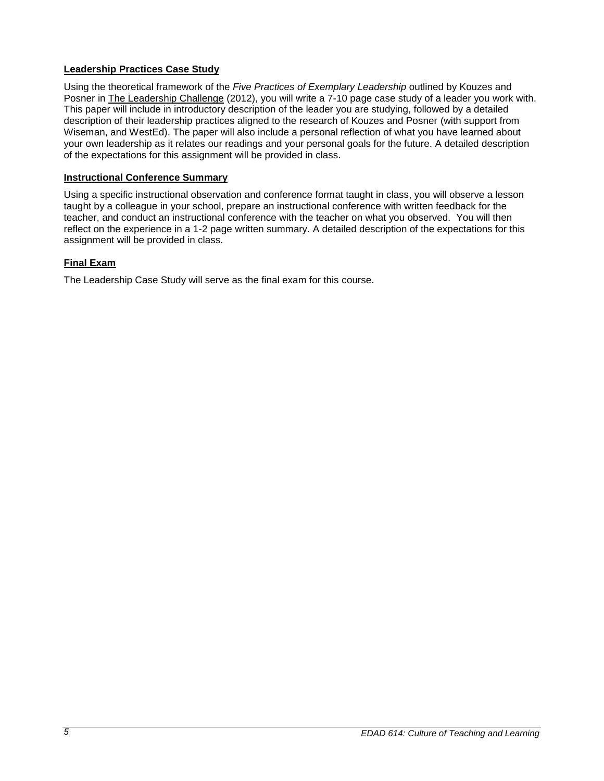# **Leadership Practices Case Study**

Using the theoretical framework of the *Five Practices of Exemplary Leadership* outlined by Kouzes and Posner in The Leadership Challenge (2012), you will write a 7-10 page case study of a leader you work with. This paper will include in introductory description of the leader you are studying, followed by a detailed description of their leadership practices aligned to the research of Kouzes and Posner (with support from Wiseman, and WestEd). The paper will also include a personal reflection of what you have learned about your own leadership as it relates our readings and your personal goals for the future. A detailed description of the expectations for this assignment will be provided in class.

## **Instructional Conference Summary**

Using a specific instructional observation and conference format taught in class, you will observe a lesson taught by a colleague in your school, prepare an instructional conference with written feedback for the teacher, and conduct an instructional conference with the teacher on what you observed. You will then reflect on the experience in a 1-2 page written summary. A detailed description of the expectations for this assignment will be provided in class.

# **Final Exam**

The Leadership Case Study will serve as the final exam for this course.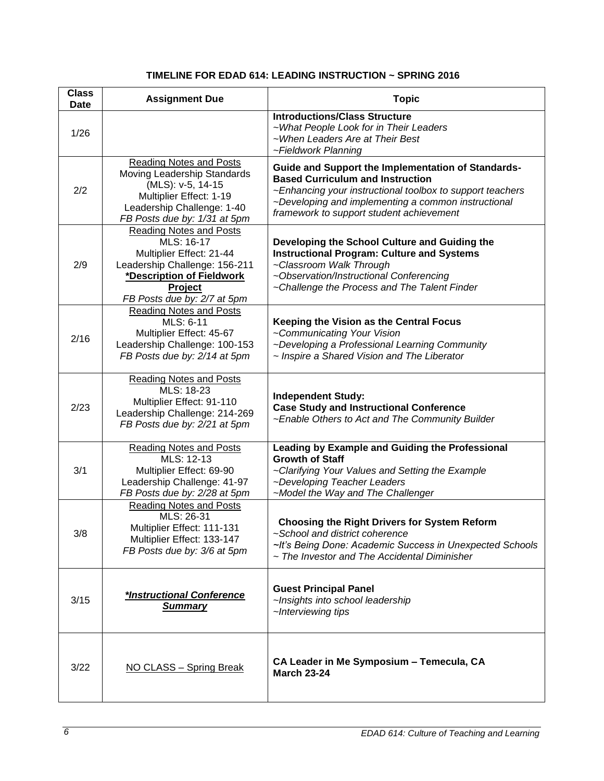# **TIMELINE FOR EDAD 614: LEADING INSTRUCTION ~ SPRING 2016**

| <b>Class</b><br><b>Date</b> | <b>Assignment Due</b>                                                                                                                                                                   | <b>Topic</b>                                                                                                                                                                                                                                                  |
|-----------------------------|-----------------------------------------------------------------------------------------------------------------------------------------------------------------------------------------|---------------------------------------------------------------------------------------------------------------------------------------------------------------------------------------------------------------------------------------------------------------|
| 1/26                        |                                                                                                                                                                                         | <b>Introductions/Class Structure</b><br>~What People Look for in Their Leaders<br>~When Leaders Are at Their Best<br>~Fieldwork Planning                                                                                                                      |
| 2/2                         | <b>Reading Notes and Posts</b><br>Moving Leadership Standards<br>(MLS): v-5, 14-15<br>Multiplier Effect: 1-19<br>Leadership Challenge: 1-40<br>FB Posts due by: 1/31 at 5pm             | Guide and Support the Implementation of Standards-<br><b>Based Curriculum and Instruction</b><br>~Enhancing your instructional toolbox to support teachers<br>~Developing and implementing a common instructional<br>framework to support student achievement |
| 2/9                         | <b>Reading Notes and Posts</b><br>MLS: 16-17<br>Multiplier Effect: 21-44<br>Leadership Challenge: 156-211<br>*Description of Fieldwork<br><b>Project</b><br>FB Posts due by: 2/7 at 5pm | Developing the School Culture and Guiding the<br><b>Instructional Program: Culture and Systems</b><br>~Classroom Walk Through<br>~Observation/Instructional Conferencing<br>~Challenge the Process and The Talent Finder                                      |
| 2/16                        | <b>Reading Notes and Posts</b><br>MLS: 6-11<br>Multiplier Effect: 45-67<br>Leadership Challenge: 100-153<br>FB Posts due by: 2/14 at 5pm                                                | Keeping the Vision as the Central Focus<br>~Communicating Your Vision<br>~Developing a Professional Learning Community<br>~ Inspire a Shared Vision and The Liberator                                                                                         |
| 2/23                        | <b>Reading Notes and Posts</b><br>MLS: 18-23<br>Multiplier Effect: 91-110<br>Leadership Challenge: 214-269<br>FB Posts due by: 2/21 at 5pm                                              | <b>Independent Study:</b><br><b>Case Study and Instructional Conference</b><br>~Enable Others to Act and The Community Builder                                                                                                                                |
| 3/1                         | <b>Reading Notes and Posts</b><br>MLS: 12-13<br>Multiplier Effect: 69-90<br>Leadership Challenge: 41-97<br>FB Posts due by: 2/28 at 5pm                                                 | Leading by Example and Guiding the Professional<br><b>Growth of Staff</b><br>~Clarifying Your Values and Setting the Example<br>~Developing Teacher Leaders<br>~Model the Way and The Challenger                                                              |
| 3/8                         | <b>Reading Notes and Posts</b><br>MLS: 26-31<br>Multiplier Effect: 111-131<br>Multiplier Effect: 133-147<br>FB Posts due by: 3/6 at 5pm                                                 | <b>Choosing the Right Drivers for System Reform</b><br>~School and district coherence<br>~It's Being Done: Academic Success in Unexpected Schools<br>~ The Investor and The Accidental Diminisher                                                             |
| 3/15                        | *Instructional Conference<br><b>Summary</b>                                                                                                                                             | <b>Guest Principal Panel</b><br>~Insights into school leadership<br>~Interviewing tips                                                                                                                                                                        |
| 3/22                        | NO CLASS - Spring Break                                                                                                                                                                 | CA Leader in Me Symposium - Temecula, CA<br><b>March 23-24</b>                                                                                                                                                                                                |